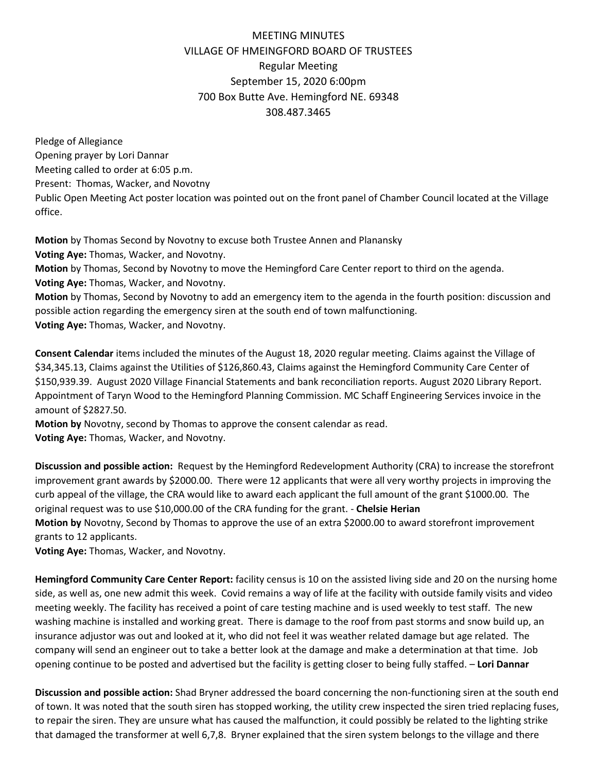## MEETING MINUTES VILLAGE OF HMEINGFORD BOARD OF TRUSTEES Regular Meeting September 15, 2020 6:00pm 700 Box Butte Ave. Hemingford NE. 69348 308.487.3465

Pledge of Allegiance Opening prayer by Lori Dannar Meeting called to order at 6:05 p.m. Present: Thomas, Wacker, and Novotny Public Open Meeting Act poster location was pointed out on the front panel of Chamber Council located at the Village office.

**Motion** by Thomas Second by Novotny to excuse both Trustee Annen and Planansky **Voting Aye:** Thomas, Wacker, and Novotny. **Motion** by Thomas, Second by Novotny to move the Hemingford Care Center report to third on the agenda. **Voting Aye:** Thomas, Wacker, and Novotny. **Motion** by Thomas, Second by Novotny to add an emergency item to the agenda in the fourth position: discussion and

possible action regarding the emergency siren at the south end of town malfunctioning. **Voting Aye:** Thomas, Wacker, and Novotny.

**Consent Calendar** items included the minutes of the August 18, 2020 regular meeting. Claims against the Village of \$34,345.13, Claims against the Utilities of \$126,860.43, Claims against the Hemingford Community Care Center of \$150,939.39. August 2020 Village Financial Statements and bank reconciliation reports. August 2020 Library Report. Appointment of Taryn Wood to the Hemingford Planning Commission. MC Schaff Engineering Services invoice in the amount of \$2827.50.

**Motion by** Novotny, second by Thomas to approve the consent calendar as read. **Voting Aye:** Thomas, Wacker, and Novotny.

**Discussion and possible action:** Request by the Hemingford Redevelopment Authority (CRA) to increase the storefront improvement grant awards by \$2000.00. There were 12 applicants that were all very worthy projects in improving the curb appeal of the village, the CRA would like to award each applicant the full amount of the grant \$1000.00. The original request was to use \$10,000.00 of the CRA funding for the grant. - **Chelsie Herian Motion by** Novotny, Second by Thomas to approve the use of an extra \$2000.00 to award storefront improvement

grants to 12 applicants.

**Voting Aye:** Thomas, Wacker, and Novotny.

**Hemingford Community Care Center Report:** facility census is 10 on the assisted living side and 20 on the nursing home side, as well as, one new admit this week. Covid remains a way of life at the facility with outside family visits and video meeting weekly. The facility has received a point of care testing machine and is used weekly to test staff. The new washing machine is installed and working great. There is damage to the roof from past storms and snow build up, an insurance adjustor was out and looked at it, who did not feel it was weather related damage but age related. The company will send an engineer out to take a better look at the damage and make a determination at that time. Job opening continue to be posted and advertised but the facility is getting closer to being fully staffed. – **Lori Dannar**

**Discussion and possible action:** Shad Bryner addressed the board concerning the non-functioning siren at the south end of town. It was noted that the south siren has stopped working, the utility crew inspected the siren tried replacing fuses, to repair the siren. They are unsure what has caused the malfunction, it could possibly be related to the lighting strike that damaged the transformer at well 6,7,8. Bryner explained that the siren system belongs to the village and there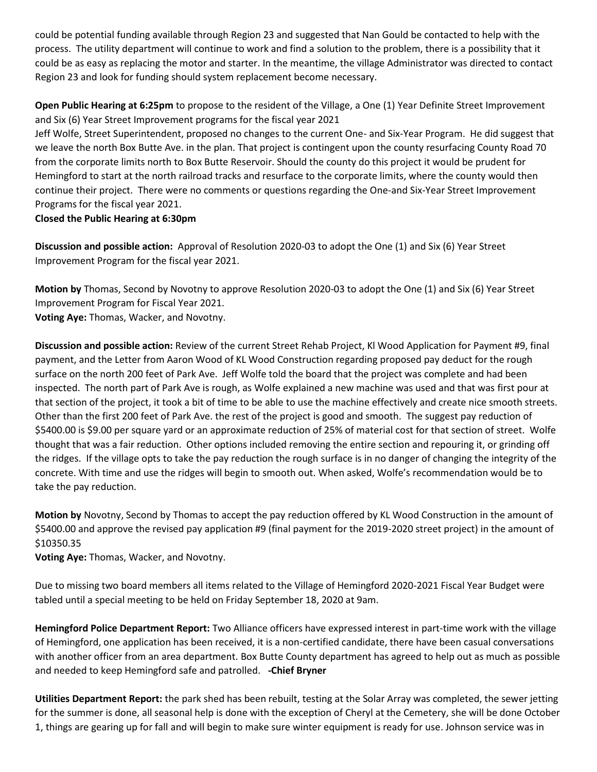could be potential funding available through Region 23 and suggested that Nan Gould be contacted to help with the process. The utility department will continue to work and find a solution to the problem, there is a possibility that it could be as easy as replacing the motor and starter. In the meantime, the village Administrator was directed to contact Region 23 and look for funding should system replacement become necessary.

**Open Public Hearing at 6:25pm** to propose to the resident of the Village, a One (1) Year Definite Street Improvement and Six (6) Year Street Improvement programs for the fiscal year 2021

Jeff Wolfe, Street Superintendent, proposed no changes to the current One- and Six-Year Program. He did suggest that we leave the north Box Butte Ave. in the plan. That project is contingent upon the county resurfacing County Road 70 from the corporate limits north to Box Butte Reservoir. Should the county do this project it would be prudent for Hemingford to start at the north railroad tracks and resurface to the corporate limits, where the county would then continue their project. There were no comments or questions regarding the One-and Six-Year Street Improvement Programs for the fiscal year 2021.

## **Closed the Public Hearing at 6:30pm**

**Discussion and possible action:** Approval of Resolution 2020-03 to adopt the One (1) and Six (6) Year Street Improvement Program for the fiscal year 2021.

**Motion by** Thomas, Second by Novotny to approve Resolution 2020-03 to adopt the One (1) and Six (6) Year Street Improvement Program for Fiscal Year 2021. **Voting Aye:** Thomas, Wacker, and Novotny.

**Discussion and possible action:** Review of the current Street Rehab Project, Kl Wood Application for Payment #9, final payment, and the Letter from Aaron Wood of KL Wood Construction regarding proposed pay deduct for the rough surface on the north 200 feet of Park Ave. Jeff Wolfe told the board that the project was complete and had been inspected. The north part of Park Ave is rough, as Wolfe explained a new machine was used and that was first pour at that section of the project, it took a bit of time to be able to use the machine effectively and create nice smooth streets. Other than the first 200 feet of Park Ave. the rest of the project is good and smooth. The suggest pay reduction of \$5400.00 is \$9.00 per square yard or an approximate reduction of 25% of material cost for that section of street. Wolfe thought that was a fair reduction. Other options included removing the entire section and repouring it, or grinding off the ridges. If the village opts to take the pay reduction the rough surface is in no danger of changing the integrity of the concrete. With time and use the ridges will begin to smooth out. When asked, Wolfe's recommendation would be to take the pay reduction.

**Motion by** Novotny, Second by Thomas to accept the pay reduction offered by KL Wood Construction in the amount of \$5400.00 and approve the revised pay application #9 (final payment for the 2019-2020 street project) in the amount of \$10350.35

**Voting Aye:** Thomas, Wacker, and Novotny.

Due to missing two board members all items related to the Village of Hemingford 2020-2021 Fiscal Year Budget were tabled until a special meeting to be held on Friday September 18, 2020 at 9am.

**Hemingford Police Department Report:** Two Alliance officers have expressed interest in part-time work with the village of Hemingford, one application has been received, it is a non-certified candidate, there have been casual conversations with another officer from an area department. Box Butte County department has agreed to help out as much as possible and needed to keep Hemingford safe and patrolled. **-Chief Bryner**

**Utilities Department Report:** the park shed has been rebuilt, testing at the Solar Array was completed, the sewer jetting for the summer is done, all seasonal help is done with the exception of Cheryl at the Cemetery, she will be done October 1, things are gearing up for fall and will begin to make sure winter equipment is ready for use. Johnson service was in